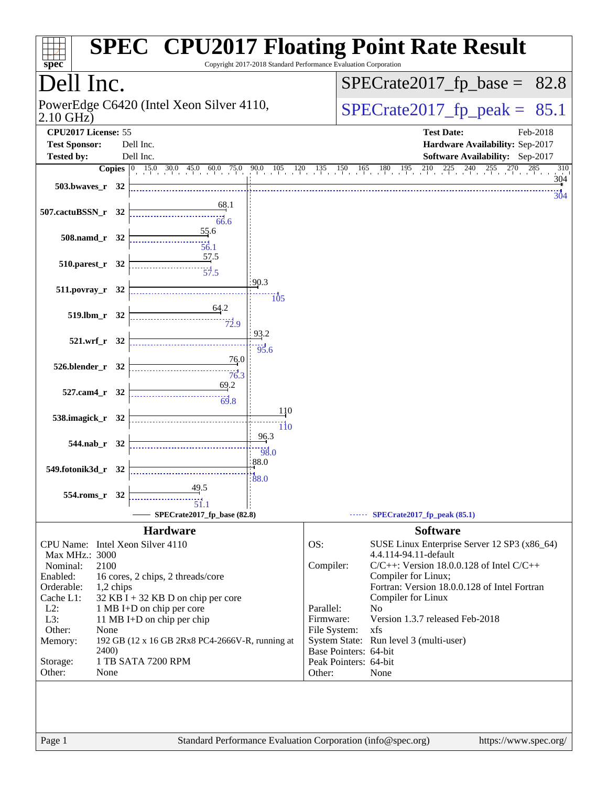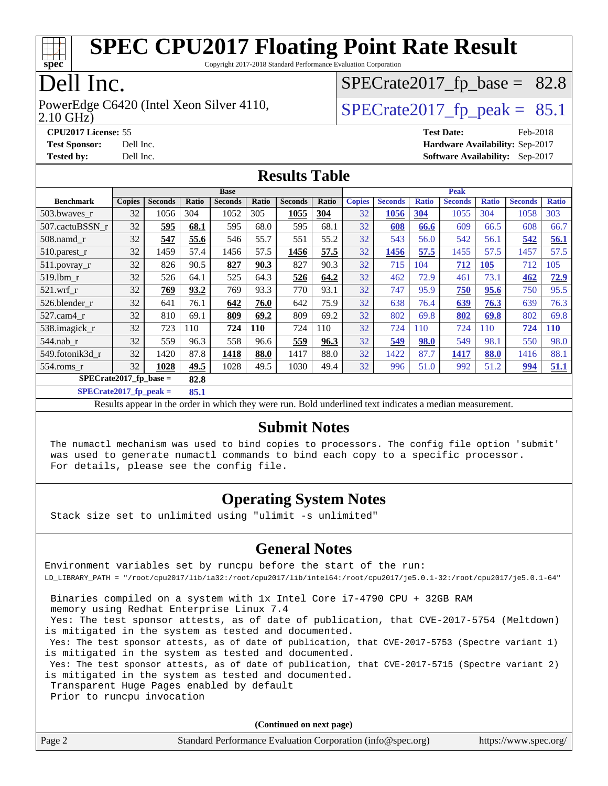

Copyright 2017-2018 Standard Performance Evaluation Corporation

# Dell Inc.

2.10 GHz) PowerEdge C6420 (Intel Xeon Silver 4110,  $\vert$  [SPECrate2017\\_fp\\_peak =](http://www.spec.org/auto/cpu2017/Docs/result-fields.html#SPECrate2017fppeak) 85.1

 $SPECTate2017_fp\_base = 82.8$ 

**[CPU2017 License:](http://www.spec.org/auto/cpu2017/Docs/result-fields.html#CPU2017License)** 55 **[Test Date:](http://www.spec.org/auto/cpu2017/Docs/result-fields.html#TestDate)** Feb-2018 **[Test Sponsor:](http://www.spec.org/auto/cpu2017/Docs/result-fields.html#TestSponsor)** Dell Inc. **[Hardware Availability:](http://www.spec.org/auto/cpu2017/Docs/result-fields.html#HardwareAvailability)** Sep-2017 **[Tested by:](http://www.spec.org/auto/cpu2017/Docs/result-fields.html#Testedby)** Dell Inc. **[Software Availability:](http://www.spec.org/auto/cpu2017/Docs/result-fields.html#SoftwareAvailability)** Sep-2017

#### **[Results Table](http://www.spec.org/auto/cpu2017/Docs/result-fields.html#ResultsTable)**

|                          | <b>Base</b>   |                |       |                |            | <b>Peak</b>    |       |               |                |              |                |              |                |              |
|--------------------------|---------------|----------------|-------|----------------|------------|----------------|-------|---------------|----------------|--------------|----------------|--------------|----------------|--------------|
| <b>Benchmark</b>         | <b>Copies</b> | <b>Seconds</b> | Ratio | <b>Seconds</b> | Ratio      | <b>Seconds</b> | Ratio | <b>Copies</b> | <b>Seconds</b> | <b>Ratio</b> | <b>Seconds</b> | <b>Ratio</b> | <b>Seconds</b> | <b>Ratio</b> |
| 503.bwayes_r             | 32            | 1056           | 304   | 1052           | 305        | 1055           | 304   | 32            | 1056           | 304          | 1055           | 304          | 1058           | 303          |
| 507.cactuBSSN r          | 32            | 595            | 68.1  | 595            | 68.0       | 595            | 68.1  | 32            | 608            | 66.6         | 609            | 66.5         | 608            | 66.7         |
| $508$ .namd_r            | 32            | 547            | 55.6  | 546            | 55.7       | 551            | 55.2  | 32            | 543            | 56.0         | 542            | 56.1         | 542            | 56.1         |
| 510.parest_r             | 32            | 1459           | 57.4  | 1456           | 57.5       | 1456           | 57.5  | 32            | 1456           | 57.5         | 1455           | 57.5         | 1457           | 57.5         |
| 511.povray_r             | 32            | 826            | 90.5  | 827            | 90.3       | 827            | 90.3  | 32            | 715            | 104          | 712            | <b>105</b>   | 712            | 105          |
| 519.lbm r                | 32            | 526            | 64.1  | 525            | 64.3       | 526            | 64.2  | 32            | 462            | 72.9         | 461            | 73.1         | 462            | 72.9         |
| $521$ .wrf r             | 32            | 769            | 93.2  | 769            | 93.3       | 770            | 93.1  | 32            | 747            | 95.9         | 750            | 95.6         | 750            | 95.5         |
| 526.blender r            | 32            | 641            | 76.1  | 642            | 76.0       | 642            | 75.9  | 32            | 638            | 76.4         | 639            | 76.3         | 639            | 76.3         |
| $527.cam4_r$             | 32            | 810            | 69.1  | 809            | 69.2       | 809            | 69.2  | 32            | 802            | 69.8         | 802            | 69.8         | 802            | 69.8         |
| 538.imagick_r            | 32            | 723            | 110   | 724            | <b>110</b> | 724            | 110   | 32            | 724            | 110          | 724            | 110          | 724            | <u>110</u>   |
| 544.nab r                | 32            | 559            | 96.3  | 558            | 96.6       | 559            | 96.3  | 32            | 549            | 98.0         | 549            | 98.1         | 550            | 98.0         |
| 549.fotonik3d r          | 32            | 1420           | 87.8  | 1418           | 88.0       | 1417           | 88.0  | 32            | 1422           | 87.7         | 1417           | 88.0         | 1416           | 88.1         |
| $554$ .roms $r$          | 32            | 1028           | 49.5  | 1028           | 49.5       | 1030           | 49.4  | 32            | 996            | 51.0         | 992            | 51.2         | 994            | 51.1         |
| $SPECrate2017$ fp base = |               |                | 82.8  |                |            |                |       |               |                |              |                |              |                |              |

**[SPECrate2017\\_fp\\_peak =](http://www.spec.org/auto/cpu2017/Docs/result-fields.html#SPECrate2017fppeak) 85.1**

Results appear in the [order in which they were run.](http://www.spec.org/auto/cpu2017/Docs/result-fields.html#RunOrder) Bold underlined text [indicates a median measurement.](http://www.spec.org/auto/cpu2017/Docs/result-fields.html#Median)

#### **[Submit Notes](http://www.spec.org/auto/cpu2017/Docs/result-fields.html#SubmitNotes)**

 The numactl mechanism was used to bind copies to processors. The config file option 'submit' was used to generate numactl commands to bind each copy to a specific processor. For details, please see the config file.

### **[Operating System Notes](http://www.spec.org/auto/cpu2017/Docs/result-fields.html#OperatingSystemNotes)**

Stack size set to unlimited using "ulimit -s unlimited"

#### **[General Notes](http://www.spec.org/auto/cpu2017/Docs/result-fields.html#GeneralNotes)**

Environment variables set by runcpu before the start of the run: LD\_LIBRARY\_PATH = "/root/cpu2017/lib/ia32:/root/cpu2017/lib/intel64:/root/cpu2017/je5.0.1-32:/root/cpu2017/je5.0.1-64"

 Binaries compiled on a system with 1x Intel Core i7-4790 CPU + 32GB RAM memory using Redhat Enterprise Linux 7.4 Yes: The test sponsor attests, as of date of publication, that CVE-2017-5754 (Meltdown) is mitigated in the system as tested and documented. Yes: The test sponsor attests, as of date of publication, that CVE-2017-5753 (Spectre variant 1) is mitigated in the system as tested and documented. Yes: The test sponsor attests, as of date of publication, that CVE-2017-5715 (Spectre variant 2) is mitigated in the system as tested and documented. Transparent Huge Pages enabled by default Prior to runcpu invocation

**(Continued on next page)**

| Page 2 | Standard Performance Evaluation Corporation (info@spec.org) | https://www.spec.org/ |
|--------|-------------------------------------------------------------|-----------------------|
|        |                                                             |                       |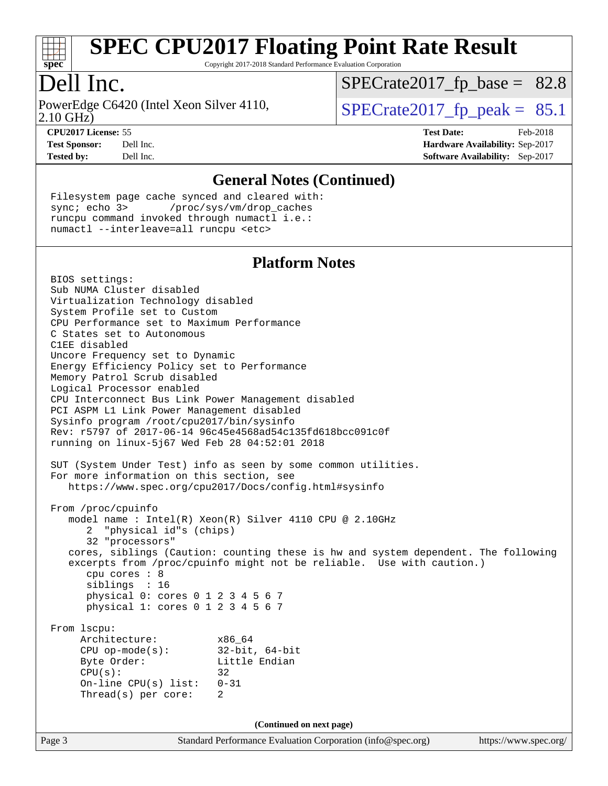

Copyright 2017-2018 Standard Performance Evaluation Corporation

# Dell Inc.

2.10 GHz) PowerEdge C6420 (Intel Xeon Silver 4110,  $\vert$  [SPECrate2017\\_fp\\_peak =](http://www.spec.org/auto/cpu2017/Docs/result-fields.html#SPECrate2017fppeak) 85.1

 $SPECTate2017_fp\_base = 82.8$ 

**[CPU2017 License:](http://www.spec.org/auto/cpu2017/Docs/result-fields.html#CPU2017License)** 55 **[Test Date:](http://www.spec.org/auto/cpu2017/Docs/result-fields.html#TestDate)** Feb-2018

**[Test Sponsor:](http://www.spec.org/auto/cpu2017/Docs/result-fields.html#TestSponsor)** Dell Inc. **[Hardware Availability:](http://www.spec.org/auto/cpu2017/Docs/result-fields.html#HardwareAvailability)** Sep-2017 **[Tested by:](http://www.spec.org/auto/cpu2017/Docs/result-fields.html#Testedby)** Dell Inc. **[Software Availability:](http://www.spec.org/auto/cpu2017/Docs/result-fields.html#SoftwareAvailability)** Sep-2017

#### **[General Notes \(Continued\)](http://www.spec.org/auto/cpu2017/Docs/result-fields.html#GeneralNotes)**

 Filesystem page cache synced and cleared with: sync; echo 3> /proc/sys/vm/drop\_caches runcpu command invoked through numactl i.e.: numactl --interleave=all runcpu <etc>

#### **[Platform Notes](http://www.spec.org/auto/cpu2017/Docs/result-fields.html#PlatformNotes)**

Page 3 Standard Performance Evaluation Corporation [\(info@spec.org\)](mailto:info@spec.org) <https://www.spec.org/> BIOS settings: Sub NUMA Cluster disabled Virtualization Technology disabled System Profile set to Custom CPU Performance set to Maximum Performance C States set to Autonomous C1EE disabled Uncore Frequency set to Dynamic Energy Efficiency Policy set to Performance Memory Patrol Scrub disabled Logical Processor enabled CPU Interconnect Bus Link Power Management disabled PCI ASPM L1 Link Power Management disabled Sysinfo program /root/cpu2017/bin/sysinfo Rev: r5797 of 2017-06-14 96c45e4568ad54c135fd618bcc091c0f running on linux-5j67 Wed Feb 28 04:52:01 2018 SUT (System Under Test) info as seen by some common utilities. For more information on this section, see <https://www.spec.org/cpu2017/Docs/config.html#sysinfo> From /proc/cpuinfo model name : Intel(R) Xeon(R) Silver 4110 CPU @ 2.10GHz 2 "physical id"s (chips) 32 "processors" cores, siblings (Caution: counting these is hw and system dependent. The following excerpts from /proc/cpuinfo might not be reliable. Use with caution.) cpu cores : 8 siblings : 16 physical 0: cores 0 1 2 3 4 5 6 7 physical 1: cores 0 1 2 3 4 5 6 7 From lscpu: Architecture: x86\_64 CPU op-mode(s): 32-bit, 64-bit Byte Order: Little Endian  $CPU(s):$  32 On-line CPU(s) list: 0-31 Thread(s) per core: 2 **(Continued on next page)**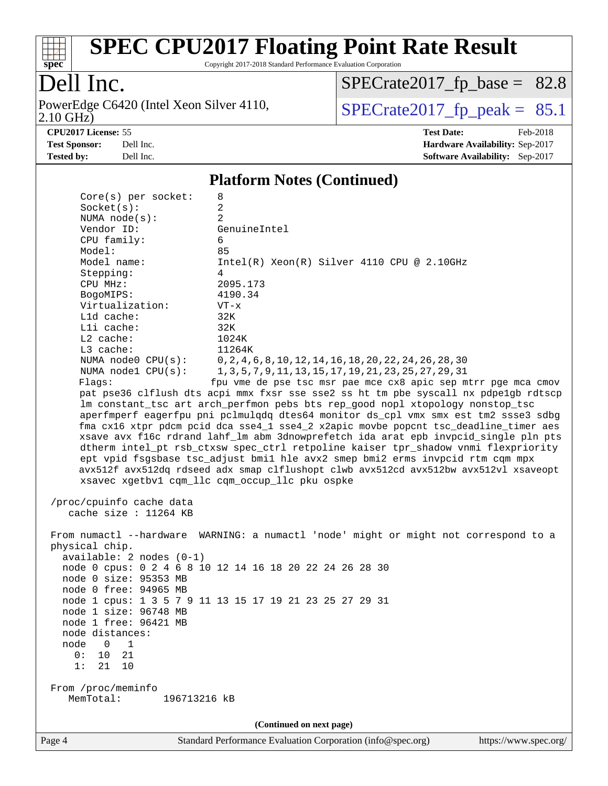

Copyright 2017-2018 Standard Performance Evaluation Corporation

# Dell Inc.

2.10 GHz) PowerEdge C6420 (Intel Xeon Silver 4110,  $\text{SPECrate2017\_fp\_peak} = 85.1$ 

 $SPECrate2017_fp\_base = 82.8$ 

**[CPU2017 License:](http://www.spec.org/auto/cpu2017/Docs/result-fields.html#CPU2017License)** 55 **[Test Date:](http://www.spec.org/auto/cpu2017/Docs/result-fields.html#TestDate)** Feb-2018

**[Test Sponsor:](http://www.spec.org/auto/cpu2017/Docs/result-fields.html#TestSponsor)** Dell Inc. **[Hardware Availability:](http://www.spec.org/auto/cpu2017/Docs/result-fields.html#HardwareAvailability)** Sep-2017 **[Tested by:](http://www.spec.org/auto/cpu2017/Docs/result-fields.html#Testedby)** Dell Inc. **[Software Availability:](http://www.spec.org/auto/cpu2017/Docs/result-fields.html#SoftwareAvailability)** Sep-2017

#### **[Platform Notes \(Continued\)](http://www.spec.org/auto/cpu2017/Docs/result-fields.html#PlatformNotes)**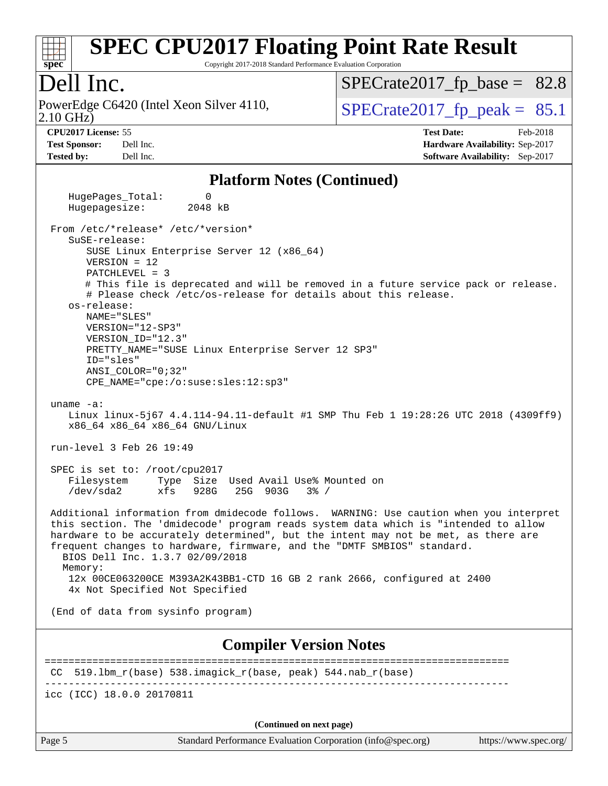

Copyright 2017-2018 Standard Performance Evaluation Corporation

### Dell Inc.

2.10 GHz) PowerEdge C6420 (Intel Xeon Silver 4110,  $\text{SPECrate2017\_fp\_peak} = 85.1$ 

 $SPECTate2017_fp\_base = 82.8$ 

**[CPU2017 License:](http://www.spec.org/auto/cpu2017/Docs/result-fields.html#CPU2017License)** 55 **[Test Date:](http://www.spec.org/auto/cpu2017/Docs/result-fields.html#TestDate)** Feb-2018 **[Test Sponsor:](http://www.spec.org/auto/cpu2017/Docs/result-fields.html#TestSponsor)** Dell Inc. **[Hardware Availability:](http://www.spec.org/auto/cpu2017/Docs/result-fields.html#HardwareAvailability)** Sep-2017 **[Tested by:](http://www.spec.org/auto/cpu2017/Docs/result-fields.html#Testedby)** Dell Inc. **[Software Availability:](http://www.spec.org/auto/cpu2017/Docs/result-fields.html#SoftwareAvailability)** Sep-2017

#### **[Platform Notes \(Continued\)](http://www.spec.org/auto/cpu2017/Docs/result-fields.html#PlatformNotes)**

Page 5 Standard Performance Evaluation Corporation [\(info@spec.org\)](mailto:info@spec.org) <https://www.spec.org/> HugePages Total: 0 Hugepagesize: 2048 kB From /etc/\*release\* /etc/\*version\* SuSE-release: SUSE Linux Enterprise Server 12 (x86\_64) VERSION = 12 PATCHLEVEL = 3 # This file is deprecated and will be removed in a future service pack or release. # Please check /etc/os-release for details about this release. os-release: NAME="SLES" VERSION="12-SP3" VERSION\_ID="12.3" PRETTY\_NAME="SUSE Linux Enterprise Server 12 SP3" ID="sles" ANSI\_COLOR="0;32" CPE\_NAME="cpe:/o:suse:sles:12:sp3" uname -a: Linux linux-5j67 4.4.114-94.11-default #1 SMP Thu Feb 1 19:28:26 UTC 2018 (4309ff9) x86\_64 x86\_64 x86\_64 GNU/Linux run-level 3 Feb 26 19:49 SPEC is set to: /root/cpu2017 Filesystem Type Size Used Avail Use% Mounted on /dev/sda2 xfs 928G 25G 903G 3% / Additional information from dmidecode follows. WARNING: Use caution when you interpret this section. The 'dmidecode' program reads system data which is "intended to allow hardware to be accurately determined", but the intent may not be met, as there are frequent changes to hardware, firmware, and the "DMTF SMBIOS" standard. BIOS Dell Inc. 1.3.7 02/09/2018 Memory: 12x 00CE063200CE M393A2K43BB1-CTD 16 GB 2 rank 2666, configured at 2400 4x Not Specified Not Specified (End of data from sysinfo program) **[Compiler Version Notes](http://www.spec.org/auto/cpu2017/Docs/result-fields.html#CompilerVersionNotes)** ==============================================================================  $CC$  519.1bm\_ $r(base)$  538.imagick\_ $r(base)$  peak) 544.nab\_ $r(base)$ ----------------------------------------------------------------------------- icc (ICC) 18.0.0 20170811 **(Continued on next page)**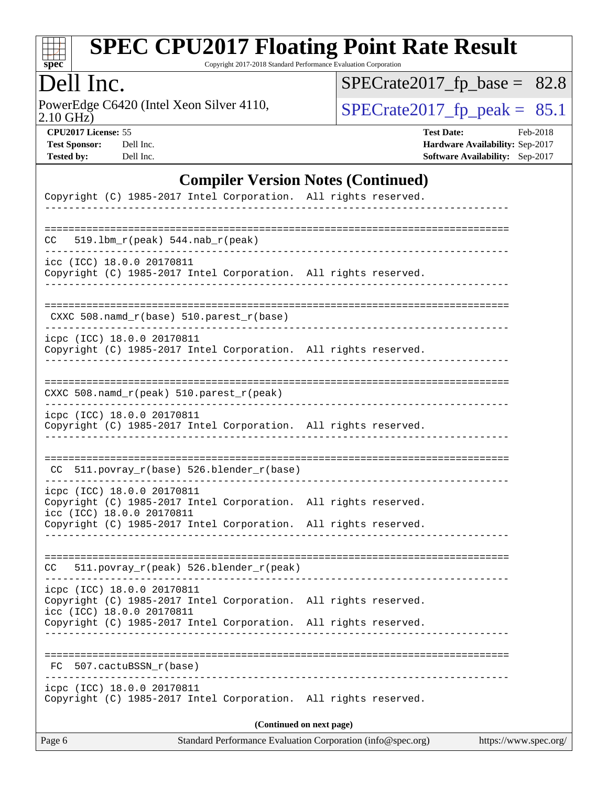

Copyright 2017-2018 Standard Performance Evaluation Corporation

### Dell Inc.

2.10 GHz) PowerEdge C6420 (Intel Xeon Silver 4110,  $\text{SPECrate2017\_fp\_peak} = 85.1$ 

 $SPECrate2017_fp\_base = 82.8$ 

**[CPU2017 License:](http://www.spec.org/auto/cpu2017/Docs/result-fields.html#CPU2017License)** 55 **[Test Date:](http://www.spec.org/auto/cpu2017/Docs/result-fields.html#TestDate)** Feb-2018 **[Test Sponsor:](http://www.spec.org/auto/cpu2017/Docs/result-fields.html#TestSponsor)** Dell Inc. **[Hardware Availability:](http://www.spec.org/auto/cpu2017/Docs/result-fields.html#HardwareAvailability)** Sep-2017 **[Tested by:](http://www.spec.org/auto/cpu2017/Docs/result-fields.html#Testedby)** Dell Inc. **[Software Availability:](http://www.spec.org/auto/cpu2017/Docs/result-fields.html#SoftwareAvailability)** Sep-2017

#### **[Compiler Version Notes \(Continued\)](http://www.spec.org/auto/cpu2017/Docs/result-fields.html#CompilerVersionNotes)**

| Page 6                                                                                                                                                                                        | Standard Performance Evaluation Corporation (info@spec.org) | https://www.spec.org/ |
|-----------------------------------------------------------------------------------------------------------------------------------------------------------------------------------------------|-------------------------------------------------------------|-----------------------|
|                                                                                                                                                                                               | (Continued on next page)                                    |                       |
| icpc (ICC) 18.0.0 20170811<br>Copyright (C) 1985-2017 Intel Corporation. All rights reserved.                                                                                                 |                                                             |                       |
| 507.cactuBSSN r(base)<br>FC.                                                                                                                                                                  |                                                             |                       |
|                                                                                                                                                                                               |                                                             |                       |
| icpc (ICC) 18.0.0 20170811<br>Copyright (C) 1985-2017 Intel Corporation. All rights reserved.<br>icc (ICC) 18.0.0 20170811<br>Copyright (C) 1985-2017 Intel Corporation. All rights reserved. |                                                             |                       |
| 511.povray_r(peak) 526.blender_r(peak)<br>CC                                                                                                                                                  |                                                             |                       |
|                                                                                                                                                                                               |                                                             |                       |
| icpc (ICC) 18.0.0 20170811<br>Copyright (C) 1985-2017 Intel Corporation. All rights reserved.<br>icc (ICC) 18.0.0 20170811<br>Copyright (C) 1985-2017 Intel Corporation. All rights reserved. |                                                             |                       |
| 511.povray_r(base) 526.blender_r(base)<br>CC                                                                                                                                                  |                                                             |                       |
| icpc (ICC) 18.0.0 20170811<br>Copyright (C) 1985-2017 Intel Corporation. All rights reserved.<br><u> - - - - - - - - - - -</u>                                                                |                                                             |                       |
| CXXC 508.namd_r(peak) 510.parest_r(peak)                                                                                                                                                      |                                                             |                       |
| icpc (ICC) 18.0.0 20170811<br>Copyright (C) 1985-2017 Intel Corporation. All rights reserved.                                                                                                 |                                                             |                       |
| CXXC 508.namd_r(base) 510.parest_r(base)                                                                                                                                                      |                                                             |                       |
| icc (ICC) 18.0.0 20170811<br>Copyright (C) 1985-2017 Intel Corporation. All rights reserved.                                                                                                  |                                                             |                       |
| $CC = 519.1bm_r(peak) 544.nab_r(peak)$<br>. <u>_ _ _ _ _ _ _ _ _ _ _ _ _ _ _ _</u> _                                                                                                          |                                                             |                       |
| Copyright (C) 1985-2017 Intel Corporation. All rights reserved.                                                                                                                               |                                                             |                       |
|                                                                                                                                                                                               |                                                             |                       |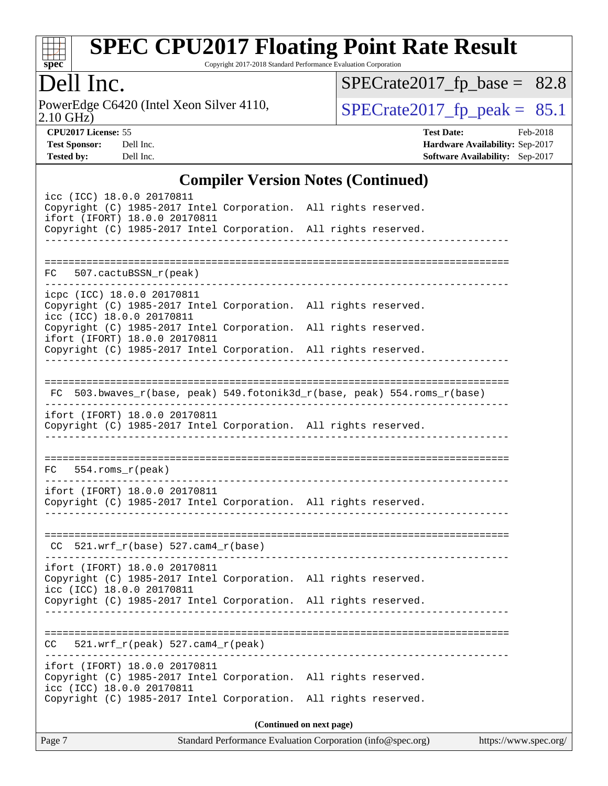

Copyright 2017-2018 Standard Performance Evaluation Corporation

# Dell Inc.

2.10 GHz) PowerEdge C6420 (Intel Xeon Silver 4110,  $\text{SPECrate2017\_fp\_peak} = 85.1$ 

 $SPECrate2017_fp\_base = 82.8$ 

**[CPU2017 License:](http://www.spec.org/auto/cpu2017/Docs/result-fields.html#CPU2017License)** 55 **[Test Date:](http://www.spec.org/auto/cpu2017/Docs/result-fields.html#TestDate)** Feb-2018 **[Test Sponsor:](http://www.spec.org/auto/cpu2017/Docs/result-fields.html#TestSponsor)** Dell Inc. **[Hardware Availability:](http://www.spec.org/auto/cpu2017/Docs/result-fields.html#HardwareAvailability)** Sep-2017 **[Tested by:](http://www.spec.org/auto/cpu2017/Docs/result-fields.html#Testedby)** Dell Inc. **[Software Availability:](http://www.spec.org/auto/cpu2017/Docs/result-fields.html#SoftwareAvailability)** Sep-2017

### **[Compiler Version Notes \(Continued\)](http://www.spec.org/auto/cpu2017/Docs/result-fields.html#CompilerVersionNotes)**

| $\frac{1}{2}$<br>icc (ICC) 18.0.0 20170811<br>Copyright (C) 1985-2017 Intel Corporation. All rights reserved.<br>ifort (IFORT) 18.0.0 20170811<br>Copyright (C) 1985-2017 Intel Corporation. All rights reserved. |  |
|-------------------------------------------------------------------------------------------------------------------------------------------------------------------------------------------------------------------|--|
| $FC$ 507. cactuBSSN $r$ (peak)                                                                                                                                                                                    |  |
| icpc (ICC) 18.0.0 20170811<br>Copyright (C) 1985-2017 Intel Corporation. All rights reserved.<br>icc (ICC) 18.0.0 20170811                                                                                        |  |
| Copyright (C) 1985-2017 Intel Corporation. All rights reserved.<br>ifort (IFORT) 18.0.0 20170811<br>Copyright (C) 1985-2017 Intel Corporation. All rights reserved.                                               |  |
|                                                                                                                                                                                                                   |  |
| FC 503.bwaves_r(base, peak) 549.fotonik3d_r(base, peak) 554.roms_r(base)                                                                                                                                          |  |
| ifort (IFORT) 18.0.0 20170811<br>Copyright (C) 1985-2017 Intel Corporation. All rights reserved.<br>_____________________________                                                                                 |  |
| $FC$ 554.roms $r$ (peak)                                                                                                                                                                                          |  |
| ifort (IFORT) 18.0.0 20170811<br>Copyright (C) 1985-2017 Intel Corporation. All rights reserved.                                                                                                                  |  |
| $CC$ 521.wrf_r(base) 527.cam4_r(base)                                                                                                                                                                             |  |
| ifort (IFORT) 18.0.0 20170811<br>Copyright (C) 1985-2017 Intel Corporation. All rights reserved.<br>icc (ICC) 18.0.0 20170811                                                                                     |  |
| Copyright (C) 1985-2017 Intel Corporation. All rights reserved.                                                                                                                                                   |  |
| CC<br>$521.wrf_r(peak) 527.camf_r(peak)$                                                                                                                                                                          |  |
| ifort (IFORT) 18.0.0 20170811<br>Copyright (C) 1985-2017 Intel Corporation. All rights reserved.<br>icc (ICC) 18.0.0 20170811                                                                                     |  |
| Copyright (C) 1985-2017 Intel Corporation. All rights reserved.<br>(Continued on next page)                                                                                                                       |  |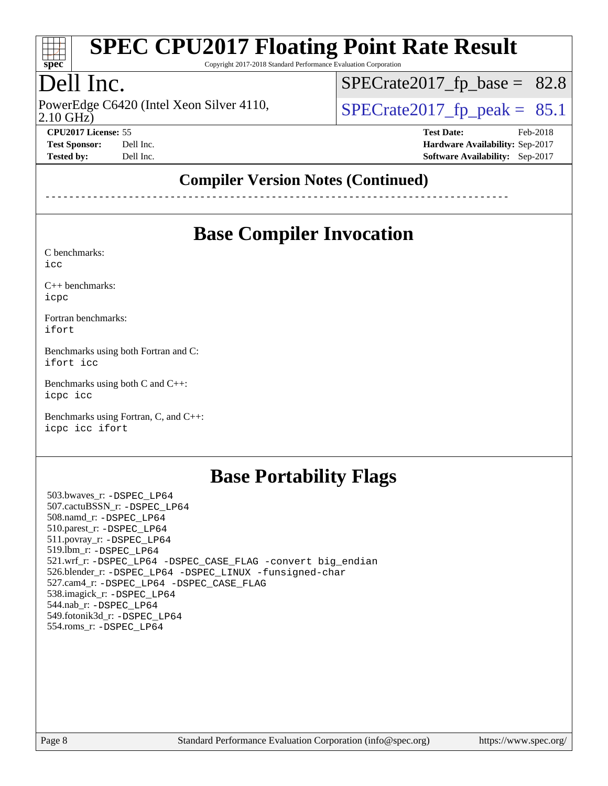

Copyright 2017-2018 Standard Performance Evaluation Corporation

# Dell Inc.

2.10 GHz) PowerEdge C6420 (Intel Xeon Silver 4110,  $\vert$  [SPECrate2017\\_fp\\_peak =](http://www.spec.org/auto/cpu2017/Docs/result-fields.html#SPECrate2017fppeak) 85.1

**[Test Sponsor:](http://www.spec.org/auto/cpu2017/Docs/result-fields.html#TestSponsor)** Dell Inc. **[Hardware Availability:](http://www.spec.org/auto/cpu2017/Docs/result-fields.html#HardwareAvailability)** Sep-2017 **[Tested by:](http://www.spec.org/auto/cpu2017/Docs/result-fields.html#Testedby)** Dell Inc. **[Software Availability:](http://www.spec.org/auto/cpu2017/Docs/result-fields.html#SoftwareAvailability)** Sep-2017

 $SPECTate2017_fp\_base = 82.8$ 

**[CPU2017 License:](http://www.spec.org/auto/cpu2017/Docs/result-fields.html#CPU2017License)** 55 **[Test Date:](http://www.spec.org/auto/cpu2017/Docs/result-fields.html#TestDate)** Feb-2018

**[Compiler Version Notes \(Continued\)](http://www.spec.org/auto/cpu2017/Docs/result-fields.html#CompilerVersionNotes)**

------------------------------------------------------------------------------

### **[Base Compiler Invocation](http://www.spec.org/auto/cpu2017/Docs/result-fields.html#BaseCompilerInvocation)**

[C benchmarks](http://www.spec.org/auto/cpu2017/Docs/result-fields.html#Cbenchmarks):

[icc](http://www.spec.org/cpu2017/results/res2018q1/cpu2017-20180305-03812.flags.html#user_CCbase_intel_icc_18.0_66fc1ee009f7361af1fbd72ca7dcefbb700085f36577c54f309893dd4ec40d12360134090235512931783d35fd58c0460139e722d5067c5574d8eaf2b3e37e92)

[C++ benchmarks:](http://www.spec.org/auto/cpu2017/Docs/result-fields.html#CXXbenchmarks) [icpc](http://www.spec.org/cpu2017/results/res2018q1/cpu2017-20180305-03812.flags.html#user_CXXbase_intel_icpc_18.0_c510b6838c7f56d33e37e94d029a35b4a7bccf4766a728ee175e80a419847e808290a9b78be685c44ab727ea267ec2f070ec5dc83b407c0218cded6866a35d07)

[Fortran benchmarks](http://www.spec.org/auto/cpu2017/Docs/result-fields.html#Fortranbenchmarks): [ifort](http://www.spec.org/cpu2017/results/res2018q1/cpu2017-20180305-03812.flags.html#user_FCbase_intel_ifort_18.0_8111460550e3ca792625aed983ce982f94888b8b503583aa7ba2b8303487b4d8a21a13e7191a45c5fd58ff318f48f9492884d4413fa793fd88dd292cad7027ca)

[Benchmarks using both Fortran and C](http://www.spec.org/auto/cpu2017/Docs/result-fields.html#BenchmarksusingbothFortranandC): [ifort](http://www.spec.org/cpu2017/results/res2018q1/cpu2017-20180305-03812.flags.html#user_CC_FCbase_intel_ifort_18.0_8111460550e3ca792625aed983ce982f94888b8b503583aa7ba2b8303487b4d8a21a13e7191a45c5fd58ff318f48f9492884d4413fa793fd88dd292cad7027ca) [icc](http://www.spec.org/cpu2017/results/res2018q1/cpu2017-20180305-03812.flags.html#user_CC_FCbase_intel_icc_18.0_66fc1ee009f7361af1fbd72ca7dcefbb700085f36577c54f309893dd4ec40d12360134090235512931783d35fd58c0460139e722d5067c5574d8eaf2b3e37e92)

[Benchmarks using both C and C++](http://www.spec.org/auto/cpu2017/Docs/result-fields.html#BenchmarksusingbothCandCXX): [icpc](http://www.spec.org/cpu2017/results/res2018q1/cpu2017-20180305-03812.flags.html#user_CC_CXXbase_intel_icpc_18.0_c510b6838c7f56d33e37e94d029a35b4a7bccf4766a728ee175e80a419847e808290a9b78be685c44ab727ea267ec2f070ec5dc83b407c0218cded6866a35d07) [icc](http://www.spec.org/cpu2017/results/res2018q1/cpu2017-20180305-03812.flags.html#user_CC_CXXbase_intel_icc_18.0_66fc1ee009f7361af1fbd72ca7dcefbb700085f36577c54f309893dd4ec40d12360134090235512931783d35fd58c0460139e722d5067c5574d8eaf2b3e37e92)

[Benchmarks using Fortran, C, and C++:](http://www.spec.org/auto/cpu2017/Docs/result-fields.html#BenchmarksusingFortranCandCXX) [icpc](http://www.spec.org/cpu2017/results/res2018q1/cpu2017-20180305-03812.flags.html#user_CC_CXX_FCbase_intel_icpc_18.0_c510b6838c7f56d33e37e94d029a35b4a7bccf4766a728ee175e80a419847e808290a9b78be685c44ab727ea267ec2f070ec5dc83b407c0218cded6866a35d07) [icc](http://www.spec.org/cpu2017/results/res2018q1/cpu2017-20180305-03812.flags.html#user_CC_CXX_FCbase_intel_icc_18.0_66fc1ee009f7361af1fbd72ca7dcefbb700085f36577c54f309893dd4ec40d12360134090235512931783d35fd58c0460139e722d5067c5574d8eaf2b3e37e92) [ifort](http://www.spec.org/cpu2017/results/res2018q1/cpu2017-20180305-03812.flags.html#user_CC_CXX_FCbase_intel_ifort_18.0_8111460550e3ca792625aed983ce982f94888b8b503583aa7ba2b8303487b4d8a21a13e7191a45c5fd58ff318f48f9492884d4413fa793fd88dd292cad7027ca)

### **[Base Portability Flags](http://www.spec.org/auto/cpu2017/Docs/result-fields.html#BasePortabilityFlags)**

 503.bwaves\_r: [-DSPEC\\_LP64](http://www.spec.org/cpu2017/results/res2018q1/cpu2017-20180305-03812.flags.html#suite_basePORTABILITY503_bwaves_r_DSPEC_LP64) 507.cactuBSSN\_r: [-DSPEC\\_LP64](http://www.spec.org/cpu2017/results/res2018q1/cpu2017-20180305-03812.flags.html#suite_basePORTABILITY507_cactuBSSN_r_DSPEC_LP64) 508.namd\_r: [-DSPEC\\_LP64](http://www.spec.org/cpu2017/results/res2018q1/cpu2017-20180305-03812.flags.html#suite_basePORTABILITY508_namd_r_DSPEC_LP64) 510.parest\_r: [-DSPEC\\_LP64](http://www.spec.org/cpu2017/results/res2018q1/cpu2017-20180305-03812.flags.html#suite_basePORTABILITY510_parest_r_DSPEC_LP64) 511.povray\_r: [-DSPEC\\_LP64](http://www.spec.org/cpu2017/results/res2018q1/cpu2017-20180305-03812.flags.html#suite_basePORTABILITY511_povray_r_DSPEC_LP64) 519.lbm\_r: [-DSPEC\\_LP64](http://www.spec.org/cpu2017/results/res2018q1/cpu2017-20180305-03812.flags.html#suite_basePORTABILITY519_lbm_r_DSPEC_LP64) 521.wrf\_r: [-DSPEC\\_LP64](http://www.spec.org/cpu2017/results/res2018q1/cpu2017-20180305-03812.flags.html#suite_basePORTABILITY521_wrf_r_DSPEC_LP64) [-DSPEC\\_CASE\\_FLAG](http://www.spec.org/cpu2017/results/res2018q1/cpu2017-20180305-03812.flags.html#b521.wrf_r_baseCPORTABILITY_DSPEC_CASE_FLAG) [-convert big\\_endian](http://www.spec.org/cpu2017/results/res2018q1/cpu2017-20180305-03812.flags.html#user_baseFPORTABILITY521_wrf_r_convert_big_endian_c3194028bc08c63ac5d04de18c48ce6d347e4e562e8892b8bdbdc0214820426deb8554edfa529a3fb25a586e65a3d812c835984020483e7e73212c4d31a38223) 526.blender\_r: [-DSPEC\\_LP64](http://www.spec.org/cpu2017/results/res2018q1/cpu2017-20180305-03812.flags.html#suite_basePORTABILITY526_blender_r_DSPEC_LP64) [-DSPEC\\_LINUX](http://www.spec.org/cpu2017/results/res2018q1/cpu2017-20180305-03812.flags.html#b526.blender_r_baseCPORTABILITY_DSPEC_LINUX) [-funsigned-char](http://www.spec.org/cpu2017/results/res2018q1/cpu2017-20180305-03812.flags.html#user_baseCPORTABILITY526_blender_r_force_uchar_40c60f00ab013830e2dd6774aeded3ff59883ba5a1fc5fc14077f794d777847726e2a5858cbc7672e36e1b067e7e5c1d9a74f7176df07886a243d7cc18edfe67) 527.cam4\_r: [-DSPEC\\_LP64](http://www.spec.org/cpu2017/results/res2018q1/cpu2017-20180305-03812.flags.html#suite_basePORTABILITY527_cam4_r_DSPEC_LP64) [-DSPEC\\_CASE\\_FLAG](http://www.spec.org/cpu2017/results/res2018q1/cpu2017-20180305-03812.flags.html#b527.cam4_r_baseCPORTABILITY_DSPEC_CASE_FLAG) 538.imagick\_r: [-DSPEC\\_LP64](http://www.spec.org/cpu2017/results/res2018q1/cpu2017-20180305-03812.flags.html#suite_basePORTABILITY538_imagick_r_DSPEC_LP64) 544.nab\_r: [-DSPEC\\_LP64](http://www.spec.org/cpu2017/results/res2018q1/cpu2017-20180305-03812.flags.html#suite_basePORTABILITY544_nab_r_DSPEC_LP64) 549.fotonik3d\_r: [-DSPEC\\_LP64](http://www.spec.org/cpu2017/results/res2018q1/cpu2017-20180305-03812.flags.html#suite_basePORTABILITY549_fotonik3d_r_DSPEC_LP64) 554.roms\_r: [-DSPEC\\_LP64](http://www.spec.org/cpu2017/results/res2018q1/cpu2017-20180305-03812.flags.html#suite_basePORTABILITY554_roms_r_DSPEC_LP64)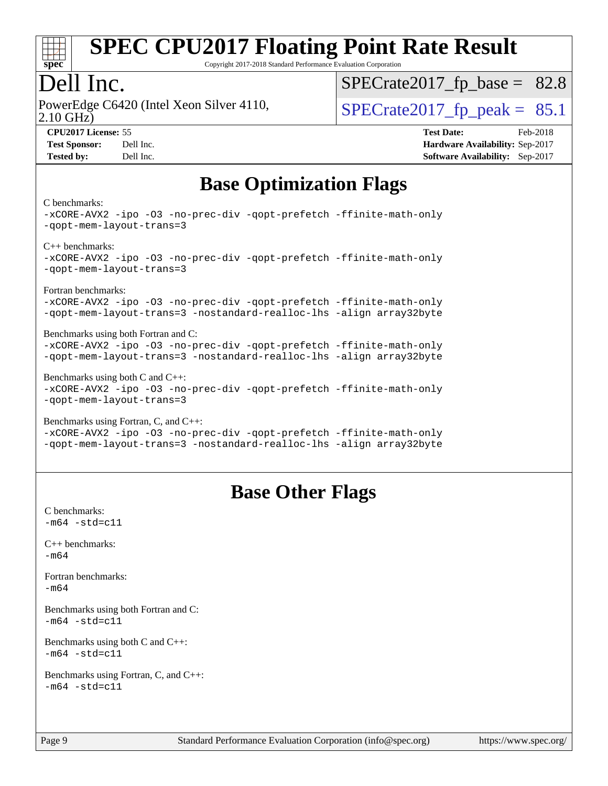

Copyright 2017-2018 Standard Performance Evaluation Corporation

### Dell Inc.

2.10 GHz) PowerEdge C6420 (Intel Xeon Silver 4110,  $\text{SPECrate2017\_fp\_peak} = 85.1$ 

 $SPECTate2017_fp\_base = 82.8$ 

**[CPU2017 License:](http://www.spec.org/auto/cpu2017/Docs/result-fields.html#CPU2017License)** 55 **[Test Date:](http://www.spec.org/auto/cpu2017/Docs/result-fields.html#TestDate)** Feb-2018 **[Test Sponsor:](http://www.spec.org/auto/cpu2017/Docs/result-fields.html#TestSponsor)** Dell Inc. **[Hardware Availability:](http://www.spec.org/auto/cpu2017/Docs/result-fields.html#HardwareAvailability)** Sep-2017 **[Tested by:](http://www.spec.org/auto/cpu2017/Docs/result-fields.html#Testedby)** Dell Inc. **[Software Availability:](http://www.spec.org/auto/cpu2017/Docs/result-fields.html#SoftwareAvailability)** Sep-2017

# **[Base Optimization Flags](http://www.spec.org/auto/cpu2017/Docs/result-fields.html#BaseOptimizationFlags)**

#### [C benchmarks](http://www.spec.org/auto/cpu2017/Docs/result-fields.html#Cbenchmarks):

[-xCORE-AVX2](http://www.spec.org/cpu2017/results/res2018q1/cpu2017-20180305-03812.flags.html#user_CCbase_f-xCORE-AVX2) [-ipo](http://www.spec.org/cpu2017/results/res2018q1/cpu2017-20180305-03812.flags.html#user_CCbase_f-ipo) [-O3](http://www.spec.org/cpu2017/results/res2018q1/cpu2017-20180305-03812.flags.html#user_CCbase_f-O3) [-no-prec-div](http://www.spec.org/cpu2017/results/res2018q1/cpu2017-20180305-03812.flags.html#user_CCbase_f-no-prec-div) [-qopt-prefetch](http://www.spec.org/cpu2017/results/res2018q1/cpu2017-20180305-03812.flags.html#user_CCbase_f-qopt-prefetch) [-ffinite-math-only](http://www.spec.org/cpu2017/results/res2018q1/cpu2017-20180305-03812.flags.html#user_CCbase_f_finite_math_only_cb91587bd2077682c4b38af759c288ed7c732db004271a9512da14a4f8007909a5f1427ecbf1a0fb78ff2a814402c6114ac565ca162485bbcae155b5e4258871) [-qopt-mem-layout-trans=3](http://www.spec.org/cpu2017/results/res2018q1/cpu2017-20180305-03812.flags.html#user_CCbase_f-qopt-mem-layout-trans_de80db37974c74b1f0e20d883f0b675c88c3b01e9d123adea9b28688d64333345fb62bc4a798493513fdb68f60282f9a726aa07f478b2f7113531aecce732043) [C++ benchmarks:](http://www.spec.org/auto/cpu2017/Docs/result-fields.html#CXXbenchmarks) [-xCORE-AVX2](http://www.spec.org/cpu2017/results/res2018q1/cpu2017-20180305-03812.flags.html#user_CXXbase_f-xCORE-AVX2) [-ipo](http://www.spec.org/cpu2017/results/res2018q1/cpu2017-20180305-03812.flags.html#user_CXXbase_f-ipo) [-O3](http://www.spec.org/cpu2017/results/res2018q1/cpu2017-20180305-03812.flags.html#user_CXXbase_f-O3) [-no-prec-div](http://www.spec.org/cpu2017/results/res2018q1/cpu2017-20180305-03812.flags.html#user_CXXbase_f-no-prec-div) [-qopt-prefetch](http://www.spec.org/cpu2017/results/res2018q1/cpu2017-20180305-03812.flags.html#user_CXXbase_f-qopt-prefetch) [-ffinite-math-only](http://www.spec.org/cpu2017/results/res2018q1/cpu2017-20180305-03812.flags.html#user_CXXbase_f_finite_math_only_cb91587bd2077682c4b38af759c288ed7c732db004271a9512da14a4f8007909a5f1427ecbf1a0fb78ff2a814402c6114ac565ca162485bbcae155b5e4258871) [-qopt-mem-layout-trans=3](http://www.spec.org/cpu2017/results/res2018q1/cpu2017-20180305-03812.flags.html#user_CXXbase_f-qopt-mem-layout-trans_de80db37974c74b1f0e20d883f0b675c88c3b01e9d123adea9b28688d64333345fb62bc4a798493513fdb68f60282f9a726aa07f478b2f7113531aecce732043) [Fortran benchmarks](http://www.spec.org/auto/cpu2017/Docs/result-fields.html#Fortranbenchmarks): [-xCORE-AVX2](http://www.spec.org/cpu2017/results/res2018q1/cpu2017-20180305-03812.flags.html#user_FCbase_f-xCORE-AVX2) [-ipo](http://www.spec.org/cpu2017/results/res2018q1/cpu2017-20180305-03812.flags.html#user_FCbase_f-ipo) [-O3](http://www.spec.org/cpu2017/results/res2018q1/cpu2017-20180305-03812.flags.html#user_FCbase_f-O3) [-no-prec-div](http://www.spec.org/cpu2017/results/res2018q1/cpu2017-20180305-03812.flags.html#user_FCbase_f-no-prec-div) [-qopt-prefetch](http://www.spec.org/cpu2017/results/res2018q1/cpu2017-20180305-03812.flags.html#user_FCbase_f-qopt-prefetch) [-ffinite-math-only](http://www.spec.org/cpu2017/results/res2018q1/cpu2017-20180305-03812.flags.html#user_FCbase_f_finite_math_only_cb91587bd2077682c4b38af759c288ed7c732db004271a9512da14a4f8007909a5f1427ecbf1a0fb78ff2a814402c6114ac565ca162485bbcae155b5e4258871) [-qopt-mem-layout-trans=3](http://www.spec.org/cpu2017/results/res2018q1/cpu2017-20180305-03812.flags.html#user_FCbase_f-qopt-mem-layout-trans_de80db37974c74b1f0e20d883f0b675c88c3b01e9d123adea9b28688d64333345fb62bc4a798493513fdb68f60282f9a726aa07f478b2f7113531aecce732043) [-nostandard-realloc-lhs](http://www.spec.org/cpu2017/results/res2018q1/cpu2017-20180305-03812.flags.html#user_FCbase_f_2003_std_realloc_82b4557e90729c0f113870c07e44d33d6f5a304b4f63d4c15d2d0f1fab99f5daaed73bdb9275d9ae411527f28b936061aa8b9c8f2d63842963b95c9dd6426b8a) [-align array32byte](http://www.spec.org/cpu2017/results/res2018q1/cpu2017-20180305-03812.flags.html#user_FCbase_align_array32byte_b982fe038af199962ba9a80c053b8342c548c85b40b8e86eb3cc33dee0d7986a4af373ac2d51c3f7cf710a18d62fdce2948f201cd044323541f22fc0fffc51b6) [Benchmarks using both Fortran and C](http://www.spec.org/auto/cpu2017/Docs/result-fields.html#BenchmarksusingbothFortranandC): [-xCORE-AVX2](http://www.spec.org/cpu2017/results/res2018q1/cpu2017-20180305-03812.flags.html#user_CC_FCbase_f-xCORE-AVX2) [-ipo](http://www.spec.org/cpu2017/results/res2018q1/cpu2017-20180305-03812.flags.html#user_CC_FCbase_f-ipo) [-O3](http://www.spec.org/cpu2017/results/res2018q1/cpu2017-20180305-03812.flags.html#user_CC_FCbase_f-O3) [-no-prec-div](http://www.spec.org/cpu2017/results/res2018q1/cpu2017-20180305-03812.flags.html#user_CC_FCbase_f-no-prec-div) [-qopt-prefetch](http://www.spec.org/cpu2017/results/res2018q1/cpu2017-20180305-03812.flags.html#user_CC_FCbase_f-qopt-prefetch) [-ffinite-math-only](http://www.spec.org/cpu2017/results/res2018q1/cpu2017-20180305-03812.flags.html#user_CC_FCbase_f_finite_math_only_cb91587bd2077682c4b38af759c288ed7c732db004271a9512da14a4f8007909a5f1427ecbf1a0fb78ff2a814402c6114ac565ca162485bbcae155b5e4258871) [-qopt-mem-layout-trans=3](http://www.spec.org/cpu2017/results/res2018q1/cpu2017-20180305-03812.flags.html#user_CC_FCbase_f-qopt-mem-layout-trans_de80db37974c74b1f0e20d883f0b675c88c3b01e9d123adea9b28688d64333345fb62bc4a798493513fdb68f60282f9a726aa07f478b2f7113531aecce732043) [-nostandard-realloc-lhs](http://www.spec.org/cpu2017/results/res2018q1/cpu2017-20180305-03812.flags.html#user_CC_FCbase_f_2003_std_realloc_82b4557e90729c0f113870c07e44d33d6f5a304b4f63d4c15d2d0f1fab99f5daaed73bdb9275d9ae411527f28b936061aa8b9c8f2d63842963b95c9dd6426b8a) [-align array32byte](http://www.spec.org/cpu2017/results/res2018q1/cpu2017-20180305-03812.flags.html#user_CC_FCbase_align_array32byte_b982fe038af199962ba9a80c053b8342c548c85b40b8e86eb3cc33dee0d7986a4af373ac2d51c3f7cf710a18d62fdce2948f201cd044323541f22fc0fffc51b6) [Benchmarks using both C and C++:](http://www.spec.org/auto/cpu2017/Docs/result-fields.html#BenchmarksusingbothCandCXX) [-xCORE-AVX2](http://www.spec.org/cpu2017/results/res2018q1/cpu2017-20180305-03812.flags.html#user_CC_CXXbase_f-xCORE-AVX2) [-ipo](http://www.spec.org/cpu2017/results/res2018q1/cpu2017-20180305-03812.flags.html#user_CC_CXXbase_f-ipo) [-O3](http://www.spec.org/cpu2017/results/res2018q1/cpu2017-20180305-03812.flags.html#user_CC_CXXbase_f-O3) [-no-prec-div](http://www.spec.org/cpu2017/results/res2018q1/cpu2017-20180305-03812.flags.html#user_CC_CXXbase_f-no-prec-div) [-qopt-prefetch](http://www.spec.org/cpu2017/results/res2018q1/cpu2017-20180305-03812.flags.html#user_CC_CXXbase_f-qopt-prefetch) [-ffinite-math-only](http://www.spec.org/cpu2017/results/res2018q1/cpu2017-20180305-03812.flags.html#user_CC_CXXbase_f_finite_math_only_cb91587bd2077682c4b38af759c288ed7c732db004271a9512da14a4f8007909a5f1427ecbf1a0fb78ff2a814402c6114ac565ca162485bbcae155b5e4258871) [-qopt-mem-layout-trans=3](http://www.spec.org/cpu2017/results/res2018q1/cpu2017-20180305-03812.flags.html#user_CC_CXXbase_f-qopt-mem-layout-trans_de80db37974c74b1f0e20d883f0b675c88c3b01e9d123adea9b28688d64333345fb62bc4a798493513fdb68f60282f9a726aa07f478b2f7113531aecce732043) [Benchmarks using Fortran, C, and C++](http://www.spec.org/auto/cpu2017/Docs/result-fields.html#BenchmarksusingFortranCandCXX): [-xCORE-AVX2](http://www.spec.org/cpu2017/results/res2018q1/cpu2017-20180305-03812.flags.html#user_CC_CXX_FCbase_f-xCORE-AVX2) [-ipo](http://www.spec.org/cpu2017/results/res2018q1/cpu2017-20180305-03812.flags.html#user_CC_CXX_FCbase_f-ipo) [-O3](http://www.spec.org/cpu2017/results/res2018q1/cpu2017-20180305-03812.flags.html#user_CC_CXX_FCbase_f-O3) [-no-prec-div](http://www.spec.org/cpu2017/results/res2018q1/cpu2017-20180305-03812.flags.html#user_CC_CXX_FCbase_f-no-prec-div) [-qopt-prefetch](http://www.spec.org/cpu2017/results/res2018q1/cpu2017-20180305-03812.flags.html#user_CC_CXX_FCbase_f-qopt-prefetch) [-ffinite-math-only](http://www.spec.org/cpu2017/results/res2018q1/cpu2017-20180305-03812.flags.html#user_CC_CXX_FCbase_f_finite_math_only_cb91587bd2077682c4b38af759c288ed7c732db004271a9512da14a4f8007909a5f1427ecbf1a0fb78ff2a814402c6114ac565ca162485bbcae155b5e4258871)

[-qopt-mem-layout-trans=3](http://www.spec.org/cpu2017/results/res2018q1/cpu2017-20180305-03812.flags.html#user_CC_CXX_FCbase_f-qopt-mem-layout-trans_de80db37974c74b1f0e20d883f0b675c88c3b01e9d123adea9b28688d64333345fb62bc4a798493513fdb68f60282f9a726aa07f478b2f7113531aecce732043) [-nostandard-realloc-lhs](http://www.spec.org/cpu2017/results/res2018q1/cpu2017-20180305-03812.flags.html#user_CC_CXX_FCbase_f_2003_std_realloc_82b4557e90729c0f113870c07e44d33d6f5a304b4f63d4c15d2d0f1fab99f5daaed73bdb9275d9ae411527f28b936061aa8b9c8f2d63842963b95c9dd6426b8a) [-align array32byte](http://www.spec.org/cpu2017/results/res2018q1/cpu2017-20180305-03812.flags.html#user_CC_CXX_FCbase_align_array32byte_b982fe038af199962ba9a80c053b8342c548c85b40b8e86eb3cc33dee0d7986a4af373ac2d51c3f7cf710a18d62fdce2948f201cd044323541f22fc0fffc51b6)

### **[Base Other Flags](http://www.spec.org/auto/cpu2017/Docs/result-fields.html#BaseOtherFlags)**

[C benchmarks](http://www.spec.org/auto/cpu2017/Docs/result-fields.html#Cbenchmarks):  $-m64 - std = c11$  $-m64 - std = c11$ [C++ benchmarks:](http://www.spec.org/auto/cpu2017/Docs/result-fields.html#CXXbenchmarks) [-m64](http://www.spec.org/cpu2017/results/res2018q1/cpu2017-20180305-03812.flags.html#user_CXXbase_intel_intel64_18.0_af43caccfc8ded86e7699f2159af6efc7655f51387b94da716254467f3c01020a5059329e2569e4053f409e7c9202a7efc638f7a6d1ffb3f52dea4a3e31d82ab) [Fortran benchmarks](http://www.spec.org/auto/cpu2017/Docs/result-fields.html#Fortranbenchmarks): [-m64](http://www.spec.org/cpu2017/results/res2018q1/cpu2017-20180305-03812.flags.html#user_FCbase_intel_intel64_18.0_af43caccfc8ded86e7699f2159af6efc7655f51387b94da716254467f3c01020a5059329e2569e4053f409e7c9202a7efc638f7a6d1ffb3f52dea4a3e31d82ab) [Benchmarks using both Fortran and C](http://www.spec.org/auto/cpu2017/Docs/result-fields.html#BenchmarksusingbothFortranandC):  $-m64$   $-std=cl1$ [Benchmarks using both C and C++](http://www.spec.org/auto/cpu2017/Docs/result-fields.html#BenchmarksusingbothCandCXX):  $-m64 - std= c11$  $-m64 - std= c11$ [Benchmarks using Fortran, C, and C++:](http://www.spec.org/auto/cpu2017/Docs/result-fields.html#BenchmarksusingFortranCandCXX)  $-m64 - std = c11$  $-m64 - std = c11$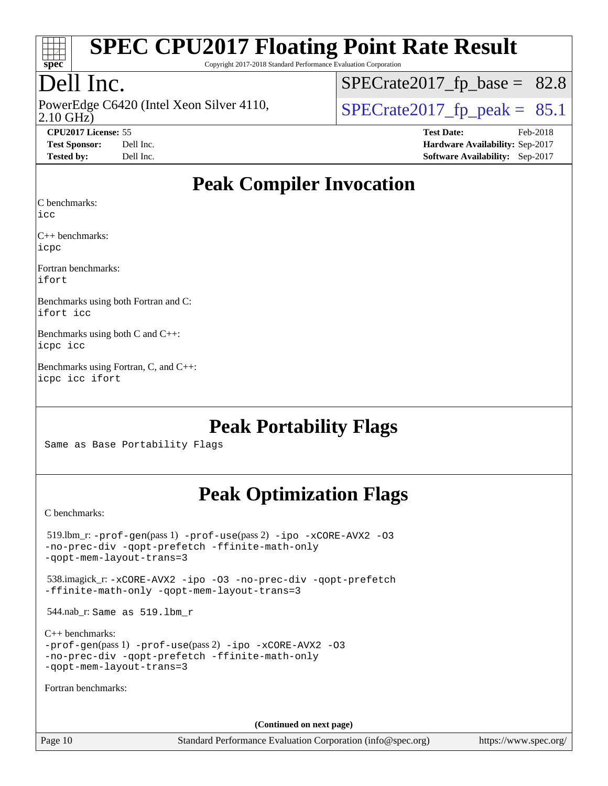

Copyright 2017-2018 Standard Performance Evaluation Corporation

# Dell Inc.

2.10 GHz) PowerEdge C6420 (Intel Xeon Silver 4110,  $\boxed{\text{SPECrate2017\_fp\_peak = 85.1}}$ 

 $SPECTate2017_fp\_base = 82.8$ 

**[CPU2017 License:](http://www.spec.org/auto/cpu2017/Docs/result-fields.html#CPU2017License)** 55 **[Test Date:](http://www.spec.org/auto/cpu2017/Docs/result-fields.html#TestDate)** Feb-2018

**[Test Sponsor:](http://www.spec.org/auto/cpu2017/Docs/result-fields.html#TestSponsor)** Dell Inc. **[Hardware Availability:](http://www.spec.org/auto/cpu2017/Docs/result-fields.html#HardwareAvailability)** Sep-2017 **[Tested by:](http://www.spec.org/auto/cpu2017/Docs/result-fields.html#Testedby)** Dell Inc. **[Software Availability:](http://www.spec.org/auto/cpu2017/Docs/result-fields.html#SoftwareAvailability)** Sep-2017

# **[Peak Compiler Invocation](http://www.spec.org/auto/cpu2017/Docs/result-fields.html#PeakCompilerInvocation)**

[C benchmarks](http://www.spec.org/auto/cpu2017/Docs/result-fields.html#Cbenchmarks):

[icc](http://www.spec.org/cpu2017/results/res2018q1/cpu2017-20180305-03812.flags.html#user_CCpeak_intel_icc_18.0_66fc1ee009f7361af1fbd72ca7dcefbb700085f36577c54f309893dd4ec40d12360134090235512931783d35fd58c0460139e722d5067c5574d8eaf2b3e37e92)

[C++ benchmarks:](http://www.spec.org/auto/cpu2017/Docs/result-fields.html#CXXbenchmarks) [icpc](http://www.spec.org/cpu2017/results/res2018q1/cpu2017-20180305-03812.flags.html#user_CXXpeak_intel_icpc_18.0_c510b6838c7f56d33e37e94d029a35b4a7bccf4766a728ee175e80a419847e808290a9b78be685c44ab727ea267ec2f070ec5dc83b407c0218cded6866a35d07)

[Fortran benchmarks](http://www.spec.org/auto/cpu2017/Docs/result-fields.html#Fortranbenchmarks): [ifort](http://www.spec.org/cpu2017/results/res2018q1/cpu2017-20180305-03812.flags.html#user_FCpeak_intel_ifort_18.0_8111460550e3ca792625aed983ce982f94888b8b503583aa7ba2b8303487b4d8a21a13e7191a45c5fd58ff318f48f9492884d4413fa793fd88dd292cad7027ca)

[Benchmarks using both Fortran and C](http://www.spec.org/auto/cpu2017/Docs/result-fields.html#BenchmarksusingbothFortranandC): [ifort](http://www.spec.org/cpu2017/results/res2018q1/cpu2017-20180305-03812.flags.html#user_CC_FCpeak_intel_ifort_18.0_8111460550e3ca792625aed983ce982f94888b8b503583aa7ba2b8303487b4d8a21a13e7191a45c5fd58ff318f48f9492884d4413fa793fd88dd292cad7027ca) [icc](http://www.spec.org/cpu2017/results/res2018q1/cpu2017-20180305-03812.flags.html#user_CC_FCpeak_intel_icc_18.0_66fc1ee009f7361af1fbd72ca7dcefbb700085f36577c54f309893dd4ec40d12360134090235512931783d35fd58c0460139e722d5067c5574d8eaf2b3e37e92)

[Benchmarks using both C and C++:](http://www.spec.org/auto/cpu2017/Docs/result-fields.html#BenchmarksusingbothCandCXX) [icpc](http://www.spec.org/cpu2017/results/res2018q1/cpu2017-20180305-03812.flags.html#user_CC_CXXpeak_intel_icpc_18.0_c510b6838c7f56d33e37e94d029a35b4a7bccf4766a728ee175e80a419847e808290a9b78be685c44ab727ea267ec2f070ec5dc83b407c0218cded6866a35d07) [icc](http://www.spec.org/cpu2017/results/res2018q1/cpu2017-20180305-03812.flags.html#user_CC_CXXpeak_intel_icc_18.0_66fc1ee009f7361af1fbd72ca7dcefbb700085f36577c54f309893dd4ec40d12360134090235512931783d35fd58c0460139e722d5067c5574d8eaf2b3e37e92)

[Benchmarks using Fortran, C, and C++](http://www.spec.org/auto/cpu2017/Docs/result-fields.html#BenchmarksusingFortranCandCXX): [icpc](http://www.spec.org/cpu2017/results/res2018q1/cpu2017-20180305-03812.flags.html#user_CC_CXX_FCpeak_intel_icpc_18.0_c510b6838c7f56d33e37e94d029a35b4a7bccf4766a728ee175e80a419847e808290a9b78be685c44ab727ea267ec2f070ec5dc83b407c0218cded6866a35d07) [icc](http://www.spec.org/cpu2017/results/res2018q1/cpu2017-20180305-03812.flags.html#user_CC_CXX_FCpeak_intel_icc_18.0_66fc1ee009f7361af1fbd72ca7dcefbb700085f36577c54f309893dd4ec40d12360134090235512931783d35fd58c0460139e722d5067c5574d8eaf2b3e37e92) [ifort](http://www.spec.org/cpu2017/results/res2018q1/cpu2017-20180305-03812.flags.html#user_CC_CXX_FCpeak_intel_ifort_18.0_8111460550e3ca792625aed983ce982f94888b8b503583aa7ba2b8303487b4d8a21a13e7191a45c5fd58ff318f48f9492884d4413fa793fd88dd292cad7027ca)

# **[Peak Portability Flags](http://www.spec.org/auto/cpu2017/Docs/result-fields.html#PeakPortabilityFlags)**

Same as Base Portability Flags

# **[Peak Optimization Flags](http://www.spec.org/auto/cpu2017/Docs/result-fields.html#PeakOptimizationFlags)**

[C benchmarks](http://www.spec.org/auto/cpu2017/Docs/result-fields.html#Cbenchmarks):

| $519.$ lbm_r: -prof-qen(pass 1) -prof-use(pass 2) -ipo -xCORE-AVX2 -03<br>-no-prec-div -qopt-prefetch -ffinite-math-only<br>-qopt-mem-layout-trans=3             |
|------------------------------------------------------------------------------------------------------------------------------------------------------------------|
| 538.imagick_r: -xCORE-AVX2 -ipo -03 -no-prec-div -qopt-prefetch<br>-ffinite-math-only -gopt-mem-layout-trans=3                                                   |
| 544.nab_r: Same as 519.1bm_r                                                                                                                                     |
| $C_{++}$ benchmarks:<br>$-prof-qen(pass 1) -prof-use(pass 2) -ipo -xCORE-AVX2 -O3$<br>-no-prec-div -qopt-prefetch -ffinite-math-only<br>-gopt-mem-layout-trans=3 |
| Fortran benchmarks:                                                                                                                                              |
| (Continued on next page)                                                                                                                                         |
| _______                                                                                                                                                          |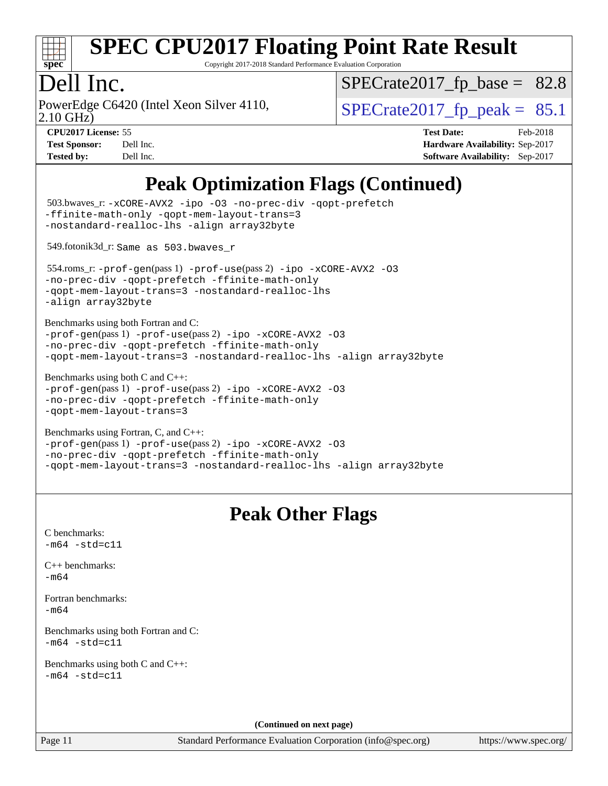

Copyright 2017-2018 Standard Performance Evaluation Corporation

### Dell Inc.

2.10 GHz) PowerEdge C6420 (Intel Xeon Silver 4110,  $\text{SPECrate2017\_fp\_peak} = 85.1$ 

 $SPECTate2017_fp\_base = 82.8$ 

**[Test Sponsor:](http://www.spec.org/auto/cpu2017/Docs/result-fields.html#TestSponsor)** Dell Inc. **[Hardware Availability:](http://www.spec.org/auto/cpu2017/Docs/result-fields.html#HardwareAvailability)** Sep-2017 **[Tested by:](http://www.spec.org/auto/cpu2017/Docs/result-fields.html#Testedby)** Dell Inc. **[Software Availability:](http://www.spec.org/auto/cpu2017/Docs/result-fields.html#SoftwareAvailability)** Sep-2017

**[CPU2017 License:](http://www.spec.org/auto/cpu2017/Docs/result-fields.html#CPU2017License)** 55 **[Test Date:](http://www.spec.org/auto/cpu2017/Docs/result-fields.html#TestDate)** Feb-2018

**[Peak Optimization Flags \(Continued\)](http://www.spec.org/auto/cpu2017/Docs/result-fields.html#PeakOptimizationFlags)**

```
Page 11 Standard Performance Evaluation Corporation (info@spec.org) https://www.spec.org/
  503.bwaves_r: -xCORE-AVX2 -ipo -O3 -no-prec-div -qopt-prefetch
-ffinite-math-only -qopt-mem-layout-trans=3
-nostandard-realloc-lhs -align array32byte
  549.fotonik3d_r: Same as 503.bwaves_r
  554.roms_r: -prof-gen(pass 1) -prof-use(pass 2) -ipo -xCORE-AVX2 -O3
-no-prec-div -qopt-prefetch -ffinite-math-only
-qopt-mem-layout-trans=3 -nostandard-realloc-lhs
-align array32byte
Benchmarks using both Fortran and C: 
-prof-gen(pass 1) -prof-use(pass 2) -ipo -xCORE-AVX2 -O3
-no-prec-div -qopt-prefetch -ffinite-math-only
-qopt-mem-layout-trans=3 -nostandard-realloc-lhs -align array32byte
Benchmarks using both C and C++: 
-prof-gen(pass 1) -prof-use(pass 2) -ipo -xCORE-AVX2 -O3
-no-prec-div -qopt-prefetch -ffinite-math-only
-qopt-mem-layout-trans=3
Benchmarks using Fortran, C, and C++: 
-prof-gen(pass 1) -prof-use(pass 2) -ipo -xCORE-AVX2 -O3
-no-prec-div -qopt-prefetch -ffinite-math-only
-qopt-mem-layout-trans=3 -nostandard-realloc-lhs -align array32byte
                                   Peak Other Flags
C benchmarks: 
-m64 - std= c11C++ benchmarks: 
-m64Fortran benchmarks: 
-m64
Benchmarks using both Fortran and C: 
-m64 - std= c11Benchmarks using both C and C++: 
-m64 - std= c11(Continued on next page)
```